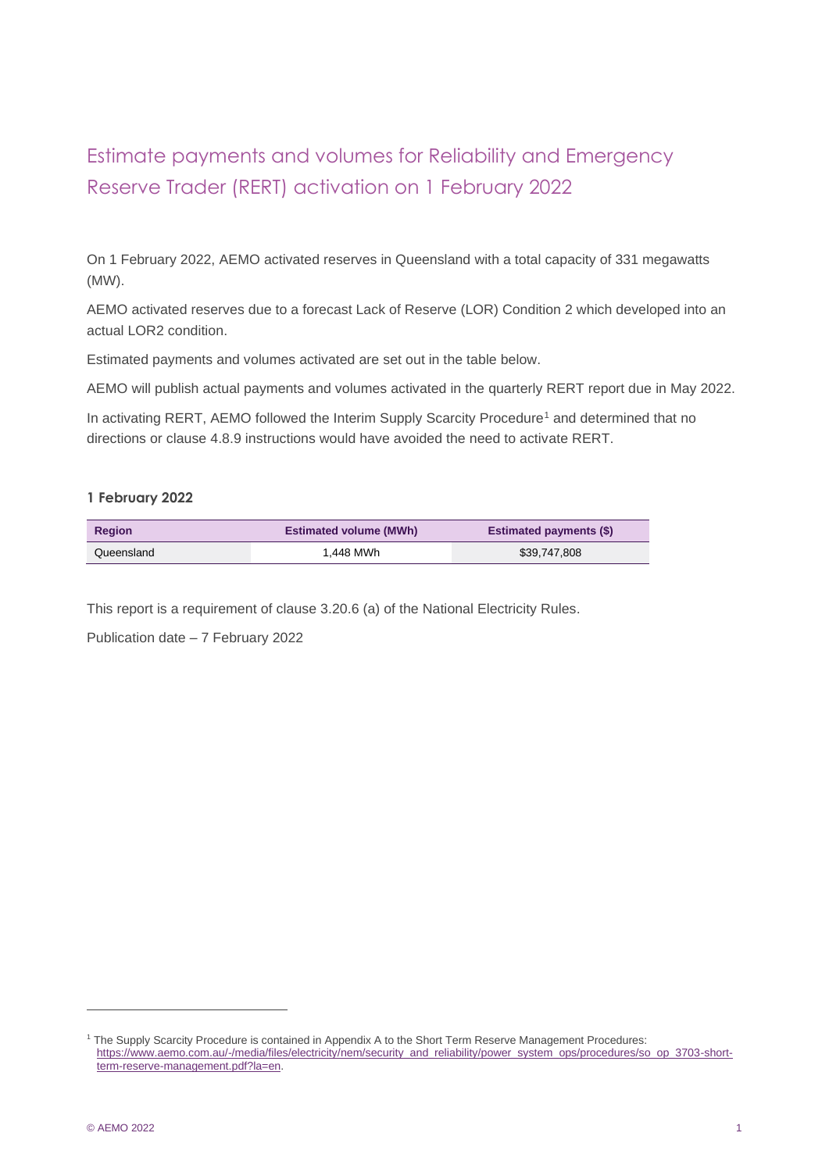## Estimate payments and volumes for Reliability and Emergency Reserve Trader (RERT) activation on 1 February 2022

On 1 February 2022, AEMO activated reserves in Queensland with a total capacity of 331 megawatts (MW).

AEMO activated reserves due to a forecast Lack of Reserve (LOR) Condition 2 which developed into an actual LOR2 condition.

Estimated payments and volumes activated are set out in the table below.

AEMO will publish actual payments and volumes activated in the quarterly RERT report due in May 2022.

In activating RERT, AEMO followed the Interim Supply Scarcity Procedure<sup>1</sup> and determined that no directions or clause 4.8.9 instructions would have avoided the need to activate RERT.

## **1 February 2022**

| <b>Region</b> | <b>Estimated volume (MWh)</b> | <b>Estimated payments (\$)</b> |  |
|---------------|-------------------------------|--------------------------------|--|
| Queensland    | 1.448 MWh                     | \$39,747,808                   |  |

This report is a requirement of clause 3.20.6 (a) of the National Electricity Rules.

Publication date – 7 February 2022

<sup>1</sup> The Supply Scarcity Procedure is contained in Appendix A to the Short Term Reserve Management Procedures: [https://www.aemo.com.au/-/media/files/electricity/nem/security\\_and\\_reliability/power\\_system\\_ops/procedures/so\\_op\\_3703-short](https://www.aemo.com.au/-/media/files/electricity/nem/security_and_reliability/power_system_ops/procedures/so_op_3703-short-term-reserve-management.pdf?la=en)[term-reserve-management.pdf?la=en.](https://www.aemo.com.au/-/media/files/electricity/nem/security_and_reliability/power_system_ops/procedures/so_op_3703-short-term-reserve-management.pdf?la=en)